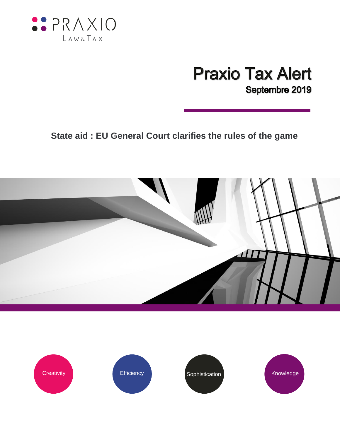

## **Praxio Tax Alert** Septembre 2019

## **State aid : EU General Court clarifies the rules of the game**



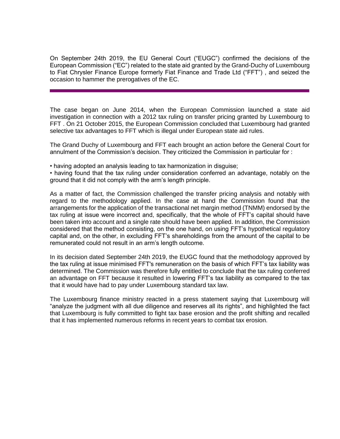On September 24th 2019, the EU General Court ("EUGC") confirmed the decisions of the European Commission ("EC") related to the state aid granted by the Grand-Duchy of Luxembourg to Fiat Chrysler Finance Europe formerly Fiat Finance and Trade Ltd ("FFT") , and seized the occasion to hammer the prerogatives of the EC.

The case began on June 2014, when the European Commission launched a state aid investigation in connection with a 2012 tax ruling on transfer pricing granted by Luxembourg to FFT . On 21 October 2015, the European Commission concluded that Luxembourg had granted selective tax advantages to FFT which is illegal under European state aid rules.

The Grand Duchy of Luxembourg and FFT each brought an action before the General Court for annulment of the Commission's decision. They criticized the Commission in particular for :

• having adopted an analysis leading to tax harmonization in disguise;

• having found that the tax ruling under consideration conferred an advantage, notably on the ground that it did not comply with the arm's length principle.

As a matter of fact, the Commission challenged the transfer pricing analysis and notably with regard to the methodology applied. In the case at hand the Commission found that the arrangements for the application of the transactional net margin method (TNMM) endorsed by the tax ruling at issue were incorrect and, specifically, that the whole of FFT's capital should have been taken into account and a single rate should have been applied. In addition, the Commission considered that the method consisting, on the one hand, on using FFT's hypothetical regulatory capital and, on the other, in excluding FFT's shareholdings from the amount of the capital to be remunerated could not result in an arm's length outcome.

In its decision dated September 24th 2019, the EUGC found that the methodology approved by the tax ruling at issue minimised FFT's remuneration on the basis of which FFT's tax liability was determined. The Commission was therefore fully entitled to conclude that the tax ruling conferred an advantage on FFT because it resulted in lowering FFT's tax liability as compared to the tax that it would have had to pay under Luxembourg standard tax law.

The Luxembourg finance ministry reacted in a press statement saying that Luxembourg will "analyze the judgment with all due diligence and reserves all its rights", and highlighted the fact that Luxembourg is fully committed to fight tax base erosion and the profit shifting and recalled that it has implemented numerous reforms in recent years to combat tax erosion.